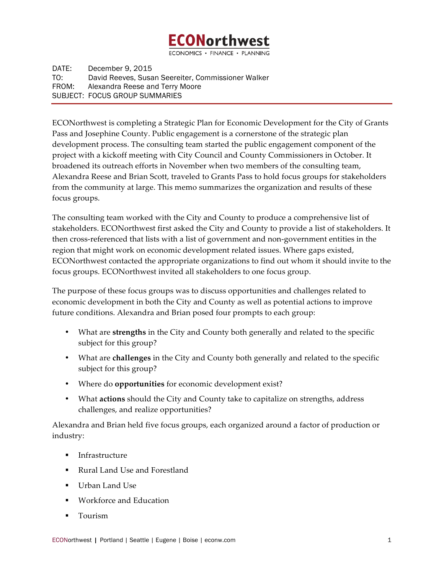# :0Northwest

ECONOMICS · FINANCE · PLANNING

DATE: December 9, 2015 TO: David Reeves, Susan Seereiter, Commissioner Walker FROM: Alexandra Reese and Terry Moore SUBJECT: FOCUS GROUP SUMMARIES

ECONorthwest is completing a Strategic Plan for Economic Development for the City of Grants Pass and Josephine County. Public engagement is a cornerstone of the strategic plan development process. The consulting team started the public engagement component of the project with a kickoff meeting with City Council and County Commissioners in October. It broadened its outreach efforts in November when two members of the consulting team, Alexandra Reese and Brian Scott, traveled to Grants Pass to hold focus groups for stakeholders from the community at large. This memo summarizes the organization and results of these focus groups.

The consulting team worked with the City and County to produce a comprehensive list of stakeholders. ECONorthwest first asked the City and County to provide a list of stakeholders. It then cross-referenced that lists with a list of government and non-government entities in the region that might work on economic development related issues. Where gaps existed, ECONorthwest contacted the appropriate organizations to find out whom it should invite to the focus groups. ECONorthwest invited all stakeholders to one focus group.

The purpose of these focus groups was to discuss opportunities and challenges related to economic development in both the City and County as well as potential actions to improve future conditions. Alexandra and Brian posed four prompts to each group:

- What are **strengths** in the City and County both generally and related to the specific subject for this group?
- What are **challenges** in the City and County both generally and related to the specific subject for this group?
- Where do **opportunities** for economic development exist?
- What **actions** should the City and County take to capitalize on strengths, address challenges, and realize opportunities?

Alexandra and Brian held five focus groups, each organized around a factor of production or industry:

- Infrastructure
- Rural Land Use and Forestland
- Urban Land Use
- § Workforce and Education
- § Tourism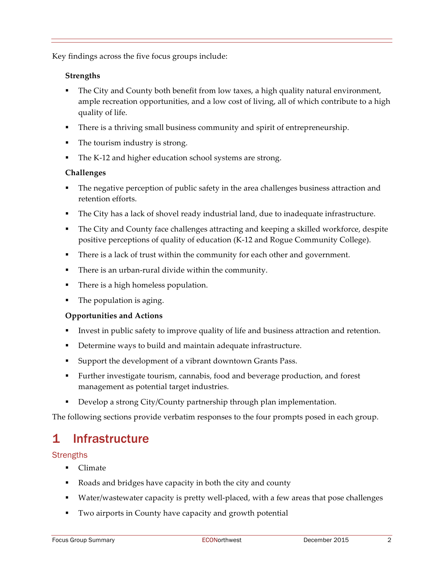Key findings across the five focus groups include:

# **Strengths**

- The City and County both benefit from low taxes, a high quality natural environment, ample recreation opportunities, and a low cost of living, all of which contribute to a high quality of life.
- § There is a thriving small business community and spirit of entrepreneurship.
- The tourism industry is strong.
- The K-12 and higher education school systems are strong.

# **Challenges**

- The negative perception of public safety in the area challenges business attraction and retention efforts.
- The City has a lack of shovel ready industrial land, due to inadequate infrastructure.
- The City and County face challenges attracting and keeping a skilled workforce, despite positive perceptions of quality of education (K-12 and Rogue Community College).
- There is a lack of trust within the community for each other and government.
- There is an urban-rural divide within the community.
- There is a high homeless population.
- The population is aging.

# **Opportunities and Actions**

- Invest in public safety to improve quality of life and business attraction and retention.
- Determine ways to build and maintain adequate infrastructure.
- Support the development of a vibrant downtown Grants Pass.
- § Further investigate tourism, cannabis, food and beverage production, and forest management as potential target industries.
- Develop a strong City/County partnership through plan implementation.

The following sections provide verbatim responses to the four prompts posed in each group.

# 1 Infrastructure

# **Strengths**

- Climate
- Roads and bridges have capacity in both the city and county
- Water/wastewater capacity is pretty well-placed, with a few areas that pose challenges
- Two airports in County have capacity and growth potential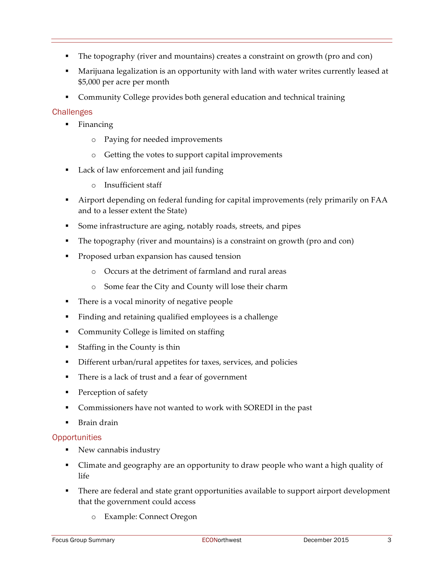- § The topography (river and mountains) creates a constraint on growth (pro and con)
- Marijuana legalization is an opportunity with land with water writes currently leased at \$5,000 per acre per month
- Community College provides both general education and technical training

# **Challenges**

- § Financing
	- o Paying for needed improvements
	- o Getting the votes to support capital improvements
- Lack of law enforcement and jail funding
	- o Insufficient staff
- § Airport depending on federal funding for capital improvements (rely primarily on FAA and to a lesser extent the State)
- § Some infrastructure are aging, notably roads, streets, and pipes
- § The topography (river and mountains) is a constraint on growth (pro and con)
- Proposed urban expansion has caused tension
	- o Occurs at the detriment of farmland and rural areas
	- o Some fear the City and County will lose their charm
- § There is a vocal minority of negative people
- § Finding and retaining qualified employees is a challenge
- § Community College is limited on staffing
- Staffing in the County is thin
- Different urban/rural appetites for taxes, services, and policies
- There is a lack of trust and a fear of government
- Perception of safety
- § Commissioners have not wanted to work with SOREDI in the past
- § Brain drain

# **Opportunities**

- New cannabis industry
- Climate and geography are an opportunity to draw people who want a high quality of life
- § There are federal and state grant opportunities available to support airport development that the government could access
	- o Example: Connect Oregon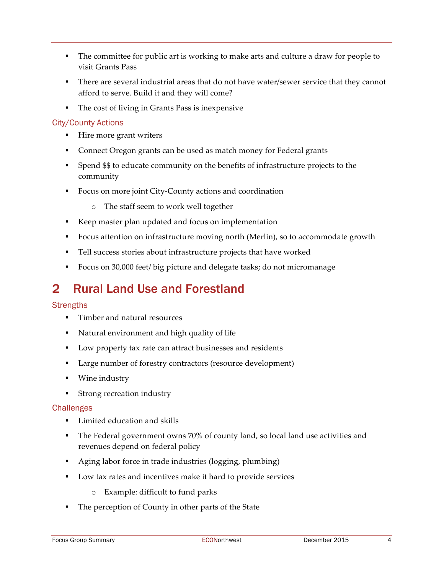- The committee for public art is working to make arts and culture a draw for people to visit Grants Pass
- There are several industrial areas that do not have water/sewer service that they cannot afford to serve. Build it and they will come?
- The cost of living in Grants Pass is inexpensive

# City/County Actions

- Hire more grant writers
- § Connect Oregon grants can be used as match money for Federal grants
- § Spend \$\$ to educate community on the benefits of infrastructure projects to the community
- Focus on more joint City-County actions and coordination
	- o The staff seem to work well together
- Keep master plan updated and focus on implementation
- Focus attention on infrastructure moving north (Merlin), so to accommodate growth
- Tell success stories about infrastructure projects that have worked
- Focus on 30,000 feet/ big picture and delegate tasks; do not micromanage

# 2 Rural Land Use and Forestland

#### **Strengths**

- § Timber and natural resources
- Natural environment and high quality of life
- Low property tax rate can attract businesses and residents
- Large number of forestry contractors (resource development)
- § Wine industry
- § Strong recreation industry

- Limited education and skills
- The Federal government owns 70% of county land, so local land use activities and revenues depend on federal policy
- Aging labor force in trade industries (logging, plumbing)
- Low tax rates and incentives make it hard to provide services
	- o Example: difficult to fund parks
- The perception of County in other parts of the State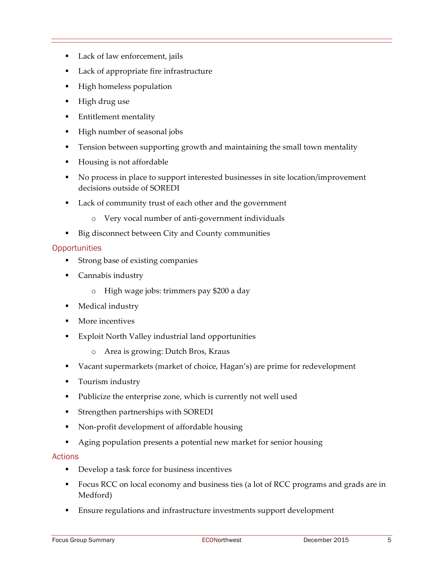- Lack of law enforcement, jails
- § Lack of appropriate fire infrastructure
- High homeless population
- High drug use
- Entitlement mentality
- § High number of seasonal jobs
- **•** Tension between supporting growth and maintaining the small town mentality
- Housing is not affordable
- § No process in place to support interested businesses in site location/improvement decisions outside of SOREDI
- Lack of community trust of each other and the government
	- o Very vocal number of anti-government individuals
- Big disconnect between City and County communities

#### **Opportunities**

- Strong base of existing companies
- Cannabis industry
	- o High wage jobs: trimmers pay \$200 a day
- Medical industry
- More incentives
- Exploit North Valley industrial land opportunities
	- o Area is growing: Dutch Bros, Kraus
- § Vacant supermarkets (market of choice, Hagan's) are prime for redevelopment
- Tourism industry
- § Publicize the enterprise zone, which is currently not well used
- § Strengthen partnerships with SOREDI
- § Non-profit development of affordable housing
- § Aging population presents a potential new market for senior housing

#### Actions

- Develop a task force for business incentives
- Focus RCC on local economy and business ties (a lot of RCC programs and grads are in Medford)
- Ensure regulations and infrastructure investments support development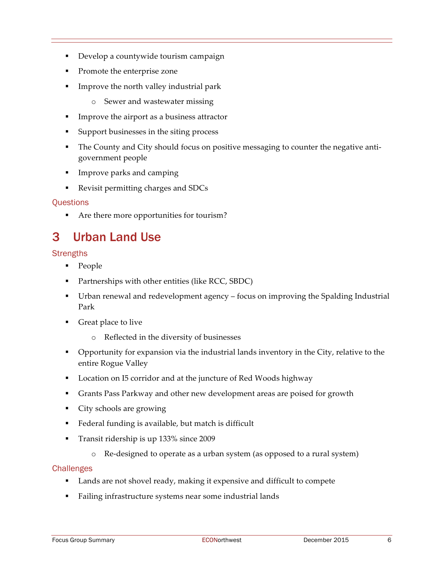- § Develop a countywide tourism campaign
- Promote the enterprise zone
- § Improve the north valley industrial park
	- o Sewer and wastewater missing
- **•** Improve the airport as a business attractor
- § Support businesses in the siting process
- The County and City should focus on positive messaging to counter the negative antigovernment people
- § Improve parks and camping
- § Revisit permitting charges and SDCs

#### **Ouestions**

§ Are there more opportunities for tourism?

# 3 Urban Land Use

#### **Strengths**

- People
- Partnerships with other entities (like RCC, SBDC)
- Urban renewal and redevelopment agency focus on improving the Spalding Industrial Park
- Great place to live
	- o Reflected in the diversity of businesses
- Opportunity for expansion via the industrial lands inventory in the City, relative to the entire Rogue Valley
- Location on I5 corridor and at the juncture of Red Woods highway
- § Grants Pass Parkway and other new development areas are poised for growth
- § City schools are growing
- § Federal funding is available, but match is difficult
- § Transit ridership is up 133% since 2009
	- o Re-designed to operate as a urban system (as opposed to a rural system)

- Lands are not shovel ready, making it expensive and difficult to compete
- Failing infrastructure systems near some industrial lands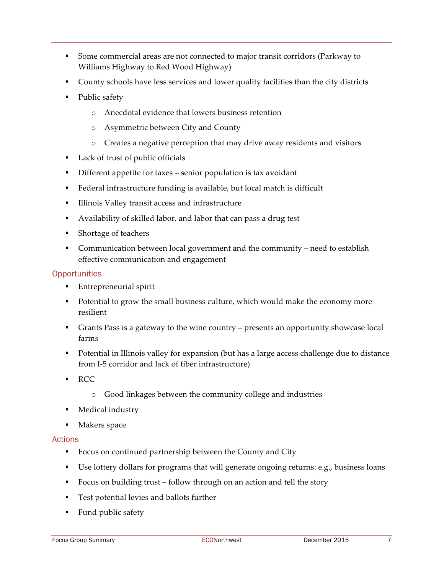- § Some commercial areas are not connected to major transit corridors (Parkway to Williams Highway to Red Wood Highway)
- County schools have less services and lower quality facilities than the city districts
- Public safety
	- o Anecdotal evidence that lowers business retention
	- o Asymmetric between City and County
	- o Creates a negative perception that may drive away residents and visitors
- Lack of trust of public officials
- Different appetite for taxes senior population is tax avoidant
- Federal infrastructure funding is available, but local match is difficult
- Illinois Valley transit access and infrastructure
- Availability of skilled labor, and labor that can pass a drug test
- Shortage of teachers
- Communication between local government and the community need to establish effective communication and engagement

#### **Opportunities**

- § Entrepreneurial spirit
- Potential to grow the small business culture, which would make the economy more resilient
- § Grants Pass is a gateway to the wine country presents an opportunity showcase local farms
- Potential in Illinois valley for expansion (but has a large access challenge due to distance from I-5 corridor and lack of fiber infrastructure)
- § RCC
	- o Good linkages between the community college and industries
- § Medical industry
- § Makers space

#### Actions

- Focus on continued partnership between the County and City
- Use lottery dollars for programs that will generate ongoing returns: e.g., business loans
- Focus on building trust follow through on an action and tell the story
- Test potential levies and ballots further
- Fund public safety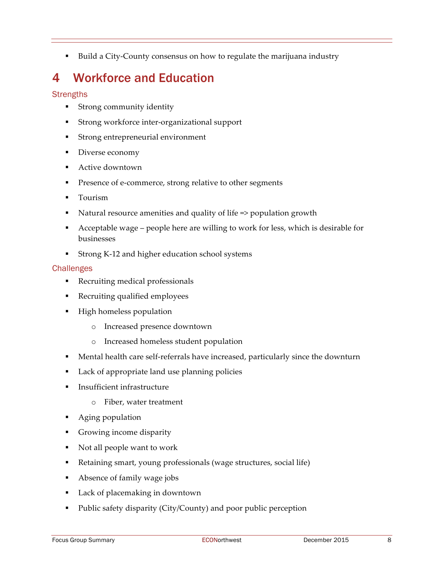§ Build a City-County consensus on how to regulate the marijuana industry

# 4 Workforce and Education

# **Strengths**

- **•** Strong community identity
- Strong workforce inter-organizational support
- Strong entrepreneurial environment
- Diverse economy
- Active downtown
- Presence of e-commerce, strong relative to other segments
- Tourism
- § Natural resource amenities and quality of life => population growth
- § Acceptable wage people here are willing to work for less, which is desirable for businesses
- § Strong K-12 and higher education school systems

- Recruiting medical professionals
- § Recruiting qualified employees
- High homeless population
	- o Increased presence downtown
	- o Increased homeless student population
- § Mental health care self-referrals have increased, particularly since the downturn
- § Lack of appropriate land use planning policies
- **Insufficient infrastructure** 
	- o Fiber, water treatment
- § Aging population
- Growing income disparity
- Not all people want to work
- § Retaining smart, young professionals (wage structures, social life)
- Absence of family wage jobs
- Lack of placemaking in downtown
- Public safety disparity (City/County) and poor public perception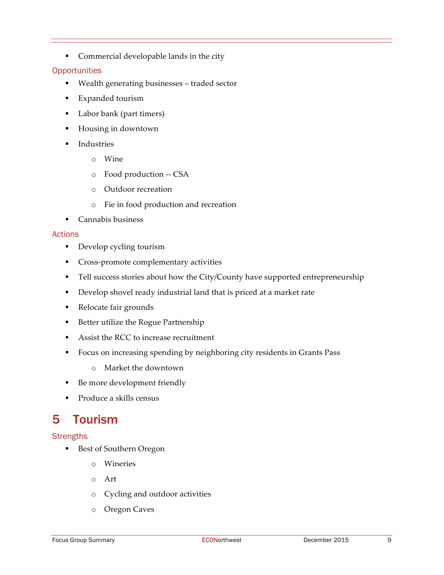**•** Commercial developable lands in the city

#### **Opportunities**

- § Wealth generating businesses traded sector
- Expanded tourism
- Labor bank (part timers)
- Housing in downtown
- **Industries** 
	- o Wine
	- o Food production -- CSA
	- o Outdoor recreation
	- o Fie in food production and recreation
- Cannabis business

#### Actions

- Develop cycling tourism
- Cross-promote complementary activities
- Tell success stories about how the City/County have supported entrepreneurship
- § Develop shovel ready industrial land that is priced at a market rate
- Relocate fair grounds
- Better utilize the Rogue Partnership
- Assist the RCC to increase recruitment
- § Focus on increasing spending by neighboring city residents in Grants Pass
	- o Market the downtown
- Be more development friendly
- § Produce a skills census

# 5 Tourism

# **Strengths**

- Best of Southern Oregon
	- o Wineries
	- o Art
	- o Cycling and outdoor activities
	- o Oregon Caves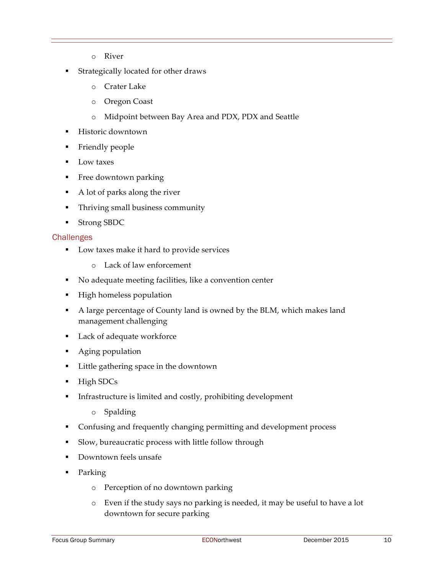- o River
- § Strategically located for other draws
	- o Crater Lake
	- o Oregon Coast
	- o Midpoint between Bay Area and PDX, PDX and Seattle
- § Historic downtown
- § Friendly people
- Low taxes
- § Free downtown parking
- A lot of parks along the river
- Thriving small business community
- § Strong SBDC

- Low taxes make it hard to provide services
	- o Lack of law enforcement
- § No adequate meeting facilities, like a convention center
- § High homeless population
- A large percentage of County land is owned by the BLM, which makes land management challenging
- Lack of adequate workforce
- Aging population
- Little gathering space in the downtown
- High SDCs
- § Infrastructure is limited and costly, prohibiting development
	- o Spalding
- § Confusing and frequently changing permitting and development process
- § Slow, bureaucratic process with little follow through
- Downtown feels unsafe
- § Parking
	- o Perception of no downtown parking
	- o Even if the study says no parking is needed, it may be useful to have a lot downtown for secure parking